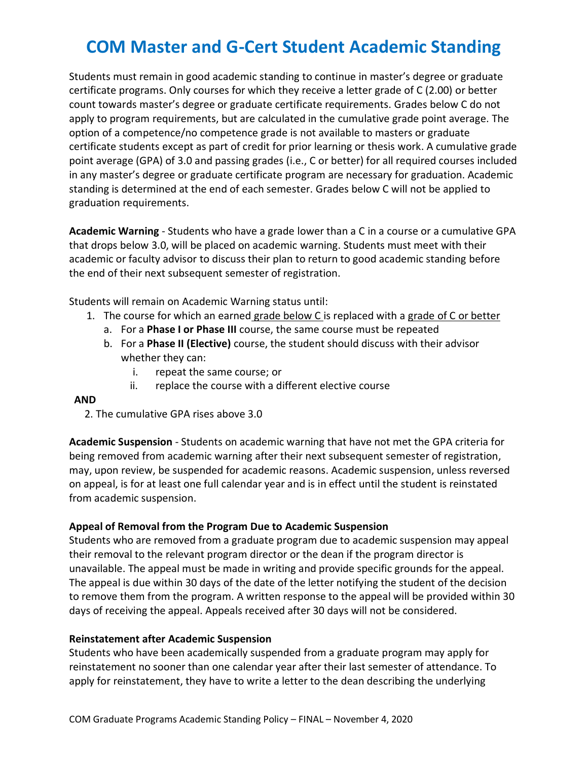# **COM Master and G-Cert Student Academic Standing**

Students must remain in good academic standing to continue in master's degree or graduate certificate programs. Only courses for which they receive a letter grade of C (2.00) or better count towards master's degree or graduate certificate requirements. Grades below C do not apply to program requirements, but are calculated in the cumulative grade point average. The option of a competence/no competence grade is not available to masters or graduate certificate students except as part of credit for prior learning or thesis work. A cumulative grade point average (GPA) of 3.0 and passing grades (i.e., C or better) for all required courses included in any master's degree or graduate certificate program are necessary for graduation. Academic standing is determined at the end of each semester. Grades below C will not be applied to graduation requirements.

**Academic Warning** - Students who have a grade lower than a C in a course or a cumulative GPA that drops below 3.0, will be placed on academic warning. Students must meet with their academic or faculty advisor to discuss their plan to return to good academic standing before the end of their next subsequent semester of registration.

Students will remain on Academic Warning status until:

- 1. The course for which an earned grade below C is replaced with a grade of C or better
	- a. For a **Phase I or Phase III** course, the same course must be repeated
	- b. For a **Phase II (Elective)** course, the student should discuss with their advisor whether they can:
		- i. repeat the same course; or
		- ii. replace the course with a different elective course

### **AND**

2. The cumulative GPA rises above 3.0

**Academic Suspension** - Students on academic warning that have not met the GPA criteria for being removed from academic warning after their next subsequent semester of registration, may, upon review, be suspended for academic reasons. Academic suspension, unless reversed on appeal, is for at least one full calendar year and is in effect until the student is reinstated from academic suspension.

## **Appeal of Removal from the Program Due to Academic Suspension**

Students who are removed from a graduate program due to academic suspension may appeal their removal to the relevant program director or the dean if the program director is unavailable. The appeal must be made in writing and provide specific grounds for the appeal. The appeal is due within 30 days of the date of the letter notifying the student of the decision to remove them from the program. A written response to the appeal will be provided within 30 days of receiving the appeal. Appeals received after 30 days will not be considered.

### **Reinstatement after Academic Suspension**

Students who have been academically suspended from a graduate program may apply for reinstatement no sooner than one calendar year after their last semester of attendance. To apply for reinstatement, they have to write a letter to the dean describing the underlying